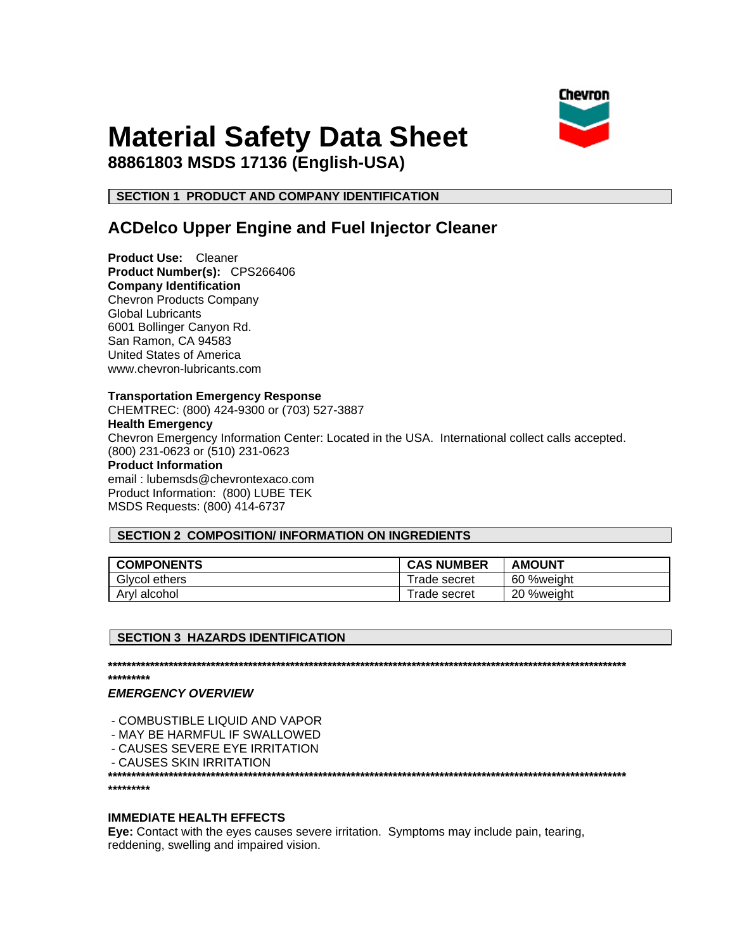

# **Material Safety Data Sheet 88861803 MSDS 17136 (English-USA)**

 **SECTION 1 PRODUCT AND COMPANY IDENTIFICATION**

# **ACDelco Upper Engine and Fuel Injector Cleaner**

**Product Use:** Cleaner **Product Number(s):** CPS266406 **Company Identification** Chevron Products Company Global Lubricants 6001 Bollinger Canyon Rd. San Ramon, CA 94583 United States of America www.chevron-lubricants.com

# **Transportation Emergency Response**

CHEMTREC: (800) 424-9300 or (703) 527-3887 **Health Emergency** Chevron Emergency Information Center: Located in the USA. International collect calls accepted. (800) 231-0623 or (510) 231-0623 **Product Information** email : lubemsds@chevrontexaco.com Product Information: (800) LUBE TEK MSDS Requests: (800) 414-6737

# **SECTION 2 COMPOSITION/ INFORMATION ON INGREDIENTS**

| <b>COMPONENTS</b> | <b>CAS NUMBER</b> | <b>AMOUNT</b> |
|-------------------|-------------------|---------------|
| Glycol ethers     | Trade secret      | 60 %weight    |
| Arvi alcohol      | Trade secret      | 20 %weight    |

# **SECTION 3 HAZARDS IDENTIFICATION**

**\*\*\*\*\*\*\*\*\*\*\*\*\*\*\*\*\*\*\*\*\*\*\*\*\*\*\*\*\*\*\*\*\*\*\*\*\*\*\*\*\*\*\*\*\*\*\*\*\*\*\*\*\*\*\*\*\*\*\*\*\*\*\*\*\*\*\*\*\*\*\*\*\*\*\*\*\*\*\*\*\*\*\*\*\*\*\*\*\*\*\*\*\*\*\*\*\*\*\*\*\*\*\*\*\*\*\*\*\*\*\***

**\*\*\*\*\*\*\*\*\***

# *EMERGENCY OVERVIEW*

- COMBUSTIBLE LIQUID AND VAPOR
- MAY BE HARMFUL IF SWALLOWED
- CAUSES SEVERE EYE IRRITATION
- CAUSES SKIN IRRITATION

**\*\*\*\*\*\*\*\*\*\*\*\*\*\*\*\*\*\*\*\*\*\*\*\*\*\*\*\*\*\*\*\*\*\*\*\*\*\*\*\*\*\*\*\*\*\*\*\*\*\*\*\*\*\*\*\*\*\*\*\*\*\*\*\*\*\*\*\*\*\*\*\*\*\*\*\*\*\*\*\*\*\*\*\*\*\*\*\*\*\*\*\*\*\*\*\*\*\*\*\*\*\*\*\*\*\*\*\*\*\*\***

**\*\*\*\*\*\*\*\*\***

# **IMMEDIATE HEALTH EFFECTS**

**Eye:** Contact with the eyes causes severe irritation. Symptoms may include pain, tearing, reddening, swelling and impaired vision.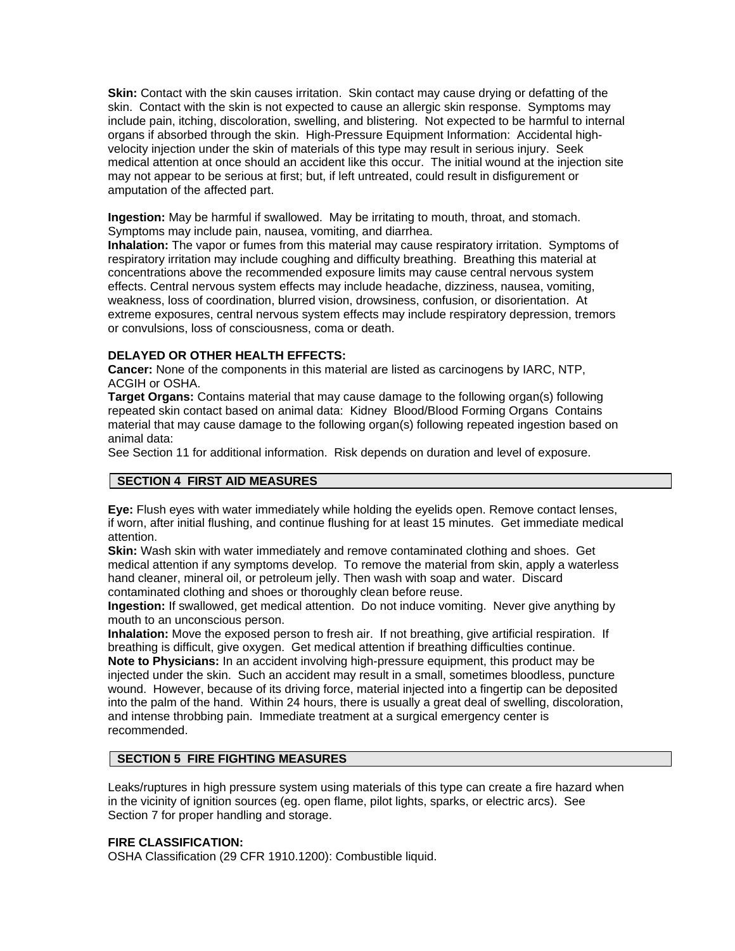**Skin:** Contact with the skin causes irritation. Skin contact may cause drying or defatting of the skin. Contact with the skin is not expected to cause an allergic skin response. Symptoms may include pain, itching, discoloration, swelling, and blistering. Not expected to be harmful to internal organs if absorbed through the skin. High-Pressure Equipment Information: Accidental highvelocity injection under the skin of materials of this type may result in serious injury. Seek medical attention at once should an accident like this occur. The initial wound at the injection site may not appear to be serious at first; but, if left untreated, could result in disfigurement or amputation of the affected part.

**Ingestion:** May be harmful if swallowed. May be irritating to mouth, throat, and stomach. Symptoms may include pain, nausea, vomiting, and diarrhea.

**Inhalation:** The vapor or fumes from this material may cause respiratory irritation. Symptoms of respiratory irritation may include coughing and difficulty breathing. Breathing this material at concentrations above the recommended exposure limits may cause central nervous system effects. Central nervous system effects may include headache, dizziness, nausea, vomiting, weakness, loss of coordination, blurred vision, drowsiness, confusion, or disorientation. At extreme exposures, central nervous system effects may include respiratory depression, tremors or convulsions, loss of consciousness, coma or death.

# **DELAYED OR OTHER HEALTH EFFECTS:**

**Cancer:** None of the components in this material are listed as carcinogens by IARC, NTP, ACGIH or OSHA.

**Target Organs:** Contains material that may cause damage to the following organ(s) following repeated skin contact based on animal data: Kidney Blood/Blood Forming Organs Contains material that may cause damage to the following organ(s) following repeated ingestion based on animal data:

See Section 11 for additional information. Risk depends on duration and level of exposure.

# **SECTION 4 FIRST AID MEASURES**

**Eye:** Flush eyes with water immediately while holding the eyelids open. Remove contact lenses, if worn, after initial flushing, and continue flushing for at least 15 minutes. Get immediate medical attention.

**Skin:** Wash skin with water immediately and remove contaminated clothing and shoes. Get medical attention if any symptoms develop. To remove the material from skin, apply a waterless hand cleaner, mineral oil, or petroleum jelly. Then wash with soap and water. Discard contaminated clothing and shoes or thoroughly clean before reuse.

**Ingestion:** If swallowed, get medical attention. Do not induce vomiting. Never give anything by mouth to an unconscious person.

**Inhalation:** Move the exposed person to fresh air. If not breathing, give artificial respiration. If breathing is difficult, give oxygen. Get medical attention if breathing difficulties continue.

**Note to Physicians:** In an accident involving high-pressure equipment, this product may be injected under the skin. Such an accident may result in a small, sometimes bloodless, puncture wound. However, because of its driving force, material injected into a fingertip can be deposited into the palm of the hand. Within 24 hours, there is usually a great deal of swelling, discoloration, and intense throbbing pain. Immediate treatment at a surgical emergency center is recommended.

# **SECTION 5 FIRE FIGHTING MEASURES**

Leaks/ruptures in high pressure system using materials of this type can create a fire hazard when in the vicinity of ignition sources (eg. open flame, pilot lights, sparks, or electric arcs). See Section 7 for proper handling and storage.

# **FIRE CLASSIFICATION:**

OSHA Classification (29 CFR 1910.1200): Combustible liquid.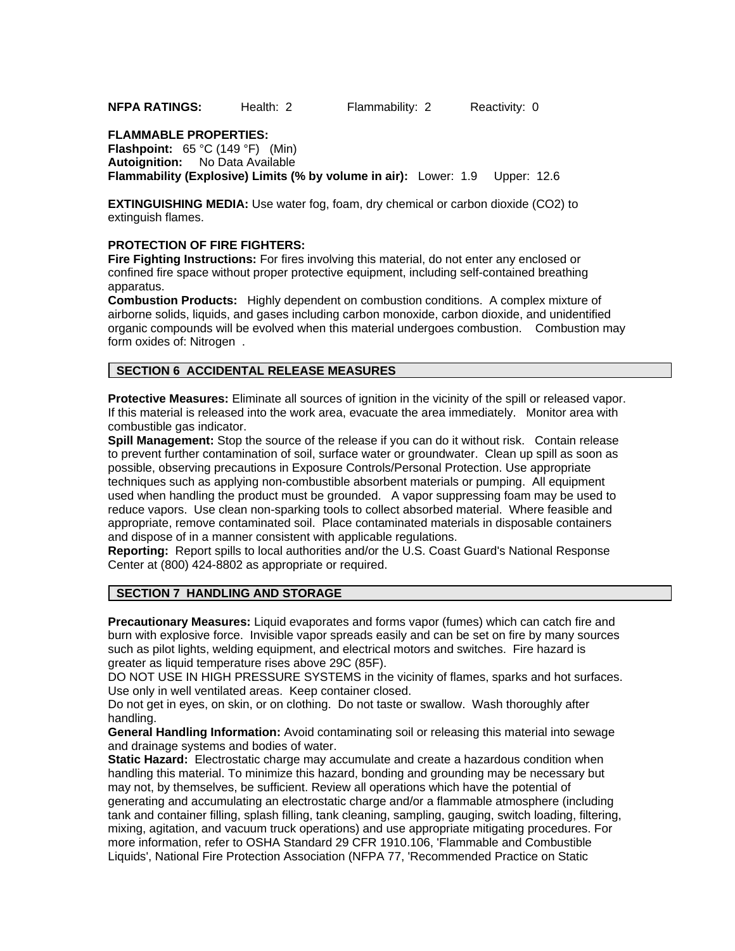**NFPA RATINGS:** Health: 2 Flammability: 2 Reactivity: 0

#### **FLAMMABLE PROPERTIES:**

**Flashpoint:** 65 °C (149 °F) (Min) **Autoignition:** No Data Available **Flammability (Explosive) Limits (% by volume in air):** Lower: 1.9 Upper: 12.6

**EXTINGUISHING MEDIA:** Use water fog, foam, dry chemical or carbon dioxide (CO2) to extinguish flames.

#### **PROTECTION OF FIRE FIGHTERS:**

**Fire Fighting Instructions:** For fires involving this material, do not enter any enclosed or confined fire space without proper protective equipment, including self-contained breathing apparatus.

**Combustion Products:** Highly dependent on combustion conditions. A complex mixture of airborne solids, liquids, and gases including carbon monoxide, carbon dioxide, and unidentified organic compounds will be evolved when this material undergoes combustion. Combustion may form oxides of: Nitrogen .

# **SECTION 6 ACCIDENTAL RELEASE MEASURES**

**Protective Measures:** Eliminate all sources of ignition in the vicinity of the spill or released vapor. If this material is released into the work area, evacuate the area immediately. Monitor area with combustible gas indicator.

**Spill Management:** Stop the source of the release if you can do it without risk. Contain release to prevent further contamination of soil, surface water or groundwater. Clean up spill as soon as possible, observing precautions in Exposure Controls/Personal Protection. Use appropriate techniques such as applying non-combustible absorbent materials or pumping. All equipment used when handling the product must be grounded. A vapor suppressing foam may be used to reduce vapors. Use clean non-sparking tools to collect absorbed material. Where feasible and appropriate, remove contaminated soil. Place contaminated materials in disposable containers and dispose of in a manner consistent with applicable regulations.

**Reporting:** Report spills to local authorities and/or the U.S. Coast Guard's National Response Center at (800) 424-8802 as appropriate or required.

# **SECTION 7 HANDLING AND STORAGE**

**Precautionary Measures:** Liquid evaporates and forms vapor (fumes) which can catch fire and burn with explosive force. Invisible vapor spreads easily and can be set on fire by many sources such as pilot lights, welding equipment, and electrical motors and switches. Fire hazard is greater as liquid temperature rises above 29C (85F).

DO NOT USE IN HIGH PRESSURE SYSTEMS in the vicinity of flames, sparks and hot surfaces. Use only in well ventilated areas. Keep container closed.

Do not get in eyes, on skin, or on clothing. Do not taste or swallow. Wash thoroughly after handling.

**General Handling Information:** Avoid contaminating soil or releasing this material into sewage and drainage systems and bodies of water.

**Static Hazard:** Electrostatic charge may accumulate and create a hazardous condition when handling this material. To minimize this hazard, bonding and grounding may be necessary but may not, by themselves, be sufficient. Review all operations which have the potential of generating and accumulating an electrostatic charge and/or a flammable atmosphere (including tank and container filling, splash filling, tank cleaning, sampling, gauging, switch loading, filtering, mixing, agitation, and vacuum truck operations) and use appropriate mitigating procedures. For more information, refer to OSHA Standard 29 CFR 1910.106, 'Flammable and Combustible Liquids', National Fire Protection Association (NFPA 77, 'Recommended Practice on Static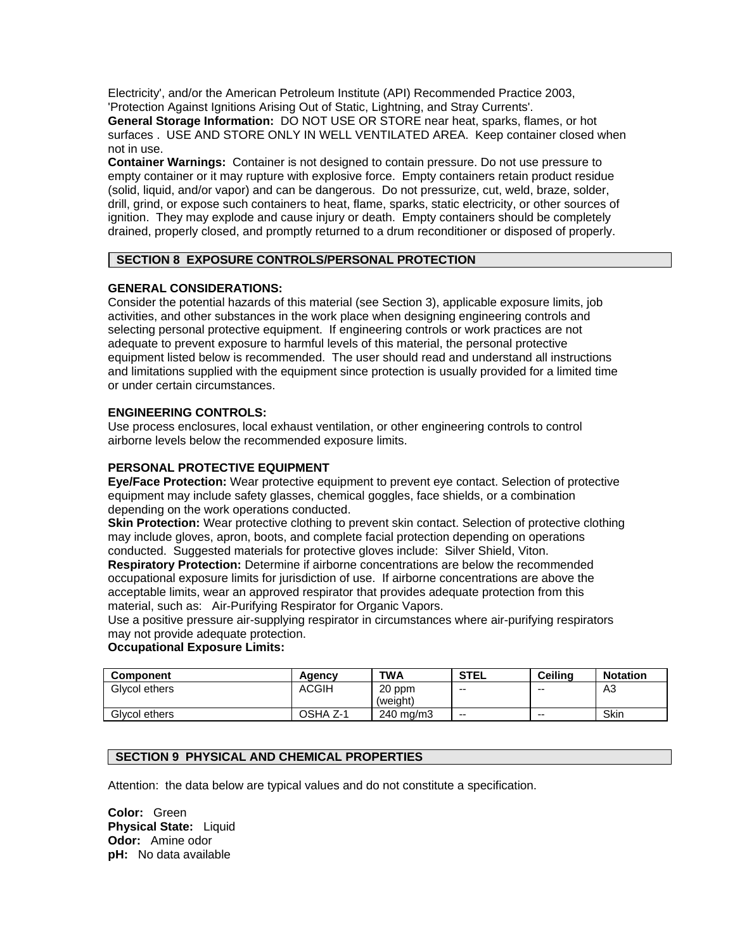Electricity', and/or the American Petroleum Institute (API) Recommended Practice 2003, 'Protection Against Ignitions Arising Out of Static, Lightning, and Stray Currents'. **General Storage Information:** DO NOT USE OR STORE near heat, sparks, flames, or hot surfaces . USE AND STORE ONLY IN WELL VENTILATED AREA. Keep container closed when not in use.

**Container Warnings:** Container is not designed to contain pressure. Do not use pressure to empty container or it may rupture with explosive force. Empty containers retain product residue (solid, liquid, and/or vapor) and can be dangerous. Do not pressurize, cut, weld, braze, solder, drill, grind, or expose such containers to heat, flame, sparks, static electricity, or other sources of ignition. They may explode and cause injury or death. Empty containers should be completely drained, properly closed, and promptly returned to a drum reconditioner or disposed of properly.

# **SECTION 8 EXPOSURE CONTROLS/PERSONAL PROTECTION**

# **GENERAL CONSIDERATIONS:**

Consider the potential hazards of this material (see Section 3), applicable exposure limits, job activities, and other substances in the work place when designing engineering controls and selecting personal protective equipment. If engineering controls or work practices are not adequate to prevent exposure to harmful levels of this material, the personal protective equipment listed below is recommended. The user should read and understand all instructions and limitations supplied with the equipment since protection is usually provided for a limited time or under certain circumstances.

# **ENGINEERING CONTROLS:**

Use process enclosures, local exhaust ventilation, or other engineering controls to control airborne levels below the recommended exposure limits.

# **PERSONAL PROTECTIVE EQUIPMENT**

**Eye/Face Protection:** Wear protective equipment to prevent eye contact. Selection of protective equipment may include safety glasses, chemical goggles, face shields, or a combination depending on the work operations conducted.

**Skin Protection:** Wear protective clothing to prevent skin contact. Selection of protective clothing may include gloves, apron, boots, and complete facial protection depending on operations conducted. Suggested materials for protective gloves include: Silver Shield, Viton.

**Respiratory Protection:** Determine if airborne concentrations are below the recommended occupational exposure limits for jurisdiction of use. If airborne concentrations are above the acceptable limits, wear an approved respirator that provides adequate protection from this material, such as: Air-Purifying Respirator for Organic Vapors.

Use a positive pressure air-supplying respirator in circumstances where air-purifying respirators may not provide adequate protection.

# **Occupational Exposure Limits:**

| <b>Component</b> | Agency       | <b>TWA</b> | <b>STEL</b> | <b>Ceiling</b> | <b>Notation</b> |
|------------------|--------------|------------|-------------|----------------|-----------------|
| Glycol ethers    | <b>ACGIH</b> | 20 ppm     | $- -$       | $- -$          | A3              |
|                  |              | (weight)   |             |                |                 |
| Givcol ethers    | OSHA Z-1     | 240 mg/m3  | $-$         | $- -$          | Skin            |

# **SECTION 9 PHYSICAL AND CHEMICAL PROPERTIES**

Attention: the data below are typical values and do not constitute a specification.

**Color:** Green **Physical State:** Liquid **Odor:** Amine odor **pH:** No data available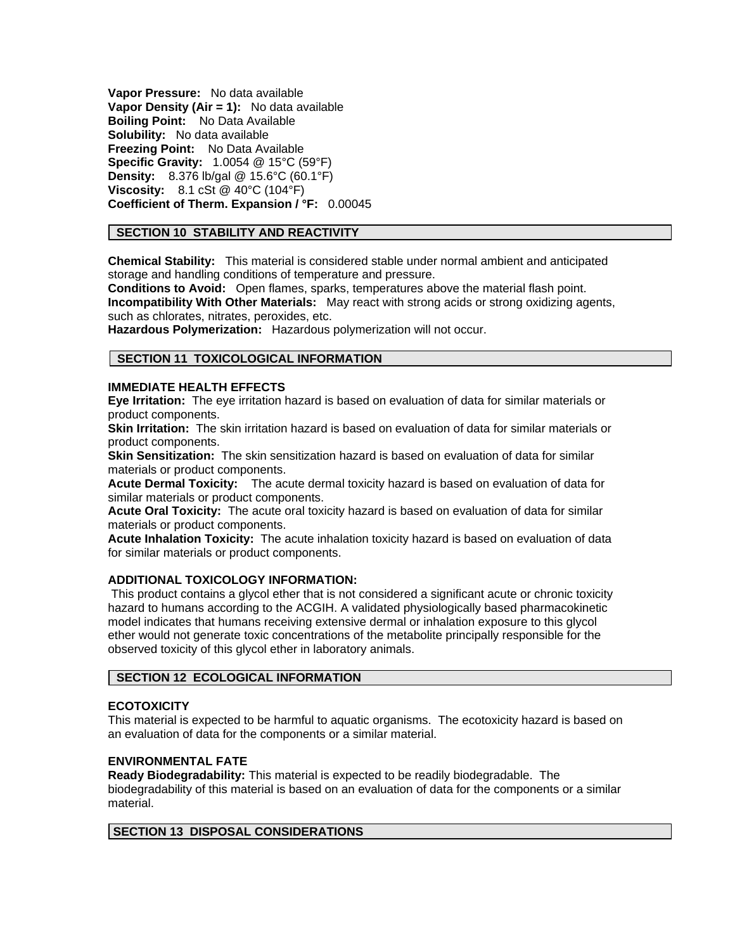**Vapor Pressure:** No data available **Vapor Density (Air = 1):** No data available **Boiling Point:** No Data Available **Solubility:** No data available **Freezing Point:** No Data Available **Specific Gravity:** 1.0054 @ 15°C (59°F) **Density:** 8.376 lb/gal @ 15.6°C (60.1°F) **Viscosity:** 8.1 cSt @ 40°C (104°F) **Coefficient of Therm. Expansion / °F:** 0.00045

# **SECTION 10 STABILITY AND REACTIVITY**

**Chemical Stability:** This material is considered stable under normal ambient and anticipated storage and handling conditions of temperature and pressure.

**Conditions to Avoid:** Open flames, sparks, temperatures above the material flash point. **Incompatibility With Other Materials:** May react with strong acids or strong oxidizing agents, such as chlorates, nitrates, peroxides, etc.

**Hazardous Polymerization:** Hazardous polymerization will not occur.

# **SECTION 11 TOXICOLOGICAL INFORMATION**

# **IMMEDIATE HEALTH EFFECTS**

**Eye Irritation:** The eye irritation hazard is based on evaluation of data for similar materials or product components.

**Skin Irritation:** The skin irritation hazard is based on evaluation of data for similar materials or product components.

**Skin Sensitization:** The skin sensitization hazard is based on evaluation of data for similar materials or product components.

**Acute Dermal Toxicity:** The acute dermal toxicity hazard is based on evaluation of data for similar materials or product components.

**Acute Oral Toxicity:** The acute oral toxicity hazard is based on evaluation of data for similar materials or product components.

**Acute Inhalation Toxicity:** The acute inhalation toxicity hazard is based on evaluation of data for similar materials or product components.

#### **ADDITIONAL TOXICOLOGY INFORMATION:**

 This product contains a glycol ether that is not considered a significant acute or chronic toxicity hazard to humans according to the ACGIH. A validated physiologically based pharmacokinetic model indicates that humans receiving extensive dermal or inhalation exposure to this glycol ether would not generate toxic concentrations of the metabolite principally responsible for the observed toxicity of this glycol ether in laboratory animals.

# **SECTION 12 ECOLOGICAL INFORMATION**

# **ECOTOXICITY**

This material is expected to be harmful to aquatic organisms. The ecotoxicity hazard is based on an evaluation of data for the components or a similar material.

# **ENVIRONMENTAL FATE**

**Ready Biodegradability:** This material is expected to be readily biodegradable. The biodegradability of this material is based on an evaluation of data for the components or a similar material.

# **SECTION 13 DISPOSAL CONSIDERATIONS**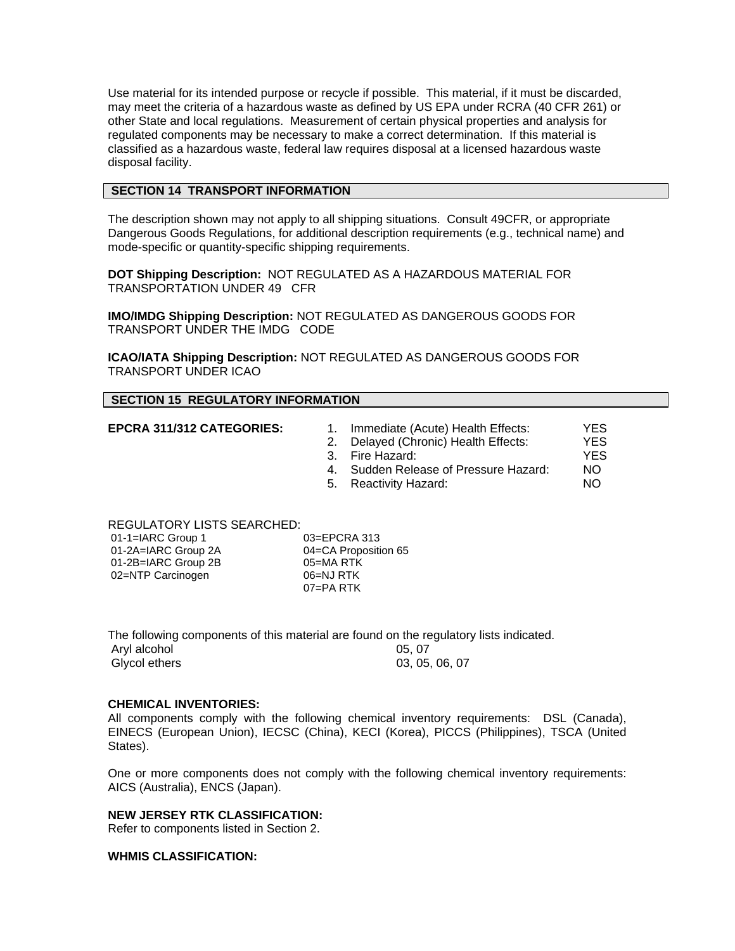Use material for its intended purpose or recycle if possible. This material, if it must be discarded, may meet the criteria of a hazardous waste as defined by US EPA under RCRA (40 CFR 261) or other State and local regulations. Measurement of certain physical properties and analysis for regulated components may be necessary to make a correct determination. If this material is classified as a hazardous waste, federal law requires disposal at a licensed hazardous waste disposal facility.

# **SECTION 14 TRANSPORT INFORMATION**

The description shown may not apply to all shipping situations. Consult 49CFR, or appropriate Dangerous Goods Regulations, for additional description requirements (e.g., technical name) and mode-specific or quantity-specific shipping requirements.

**DOT Shipping Description:** NOT REGULATED AS A HAZARDOUS MATERIAL FOR TRANSPORTATION UNDER 49 CFR

**IMO/IMDG Shipping Description:** NOT REGULATED AS DANGEROUS GOODS FOR TRANSPORT UNDER THE IMDG CODE

**ICAO/IATA Shipping Description:** NOT REGULATED AS DANGEROUS GOODS FOR TRANSPORT UNDER ICAO

#### **SECTION 15 REGULATORY INFORMATION**

| <b>EPCRA 311/312 CATEGORIES:</b> | $\mathbf{1}$ | Immediate (Acute) Health Effects:     | YES. |
|----------------------------------|--------------|---------------------------------------|------|
|                                  |              | 2. Delayed (Chronic) Health Effects:  | YES. |
|                                  |              | 3. Fire Hazard:                       | YES. |
|                                  |              | 4. Sudden Release of Pressure Hazard: | NO.  |

- 5. Reactivity Hazard: NO
- 

REGULATORY LISTS SEARCHED:

| $01-1=IARC$ Group 1 | $03 = EPCRA$ 313     |
|---------------------|----------------------|
| 01-2A=IARC Group 2A | 04=CA Proposition 65 |
| 01-2B=IARC Group 2B | 05=MA RTK            |
| 02=NTP Carcinogen   | 06=NJ RTK            |
|                     | $07 = PA$ RTK        |
|                     |                      |

The following components of this material are found on the regulatory lists indicated.

Aryl alcohol 05, 07 Glycol ethers 03, 05, 06, 07

#### **CHEMICAL INVENTORIES:**

All components comply with the following chemical inventory requirements: DSL (Canada), EINECS (European Union), IECSC (China), KECI (Korea), PICCS (Philippines), TSCA (United States).

One or more components does not comply with the following chemical inventory requirements: AICS (Australia), ENCS (Japan).

# **NEW JERSEY RTK CLASSIFICATION:**

Refer to components listed in Section 2.

#### **WHMIS CLASSIFICATION:**